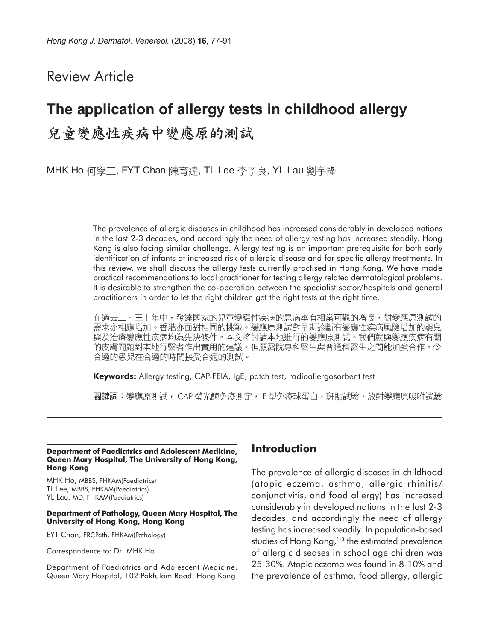# Review Article

# **The application of allergy tests in childhood allergy** 兒童變應性疾病中變應原的測試

MHK Ho 何學工, EYT Chan 陳育達, TL Lee 李子良, YL Lau 劉宇隆

The prevalence of allergic diseases in childhood has increased considerably in developed nations in the last 2-3 decades, and accordingly the need of allergy testing has increased steadily. Hong Kong is also facing similar challenge. Allergy testing is an important prerequisite for both early identification of infants at increased risk of allergic disease and for specific allergy treatments. In this review, we shall discuss the allergy tests currently practised in Hong Kong. We have made practical recommendations to local practitioner for testing allergy related dermatological problems. It is desirable to strengthen the co-operation between the specialist sector/hospitals and general practitioners in order to let the right children get the right tests at the right time.

在過去二、三十年中,發達國家的兒童變應性疾病的患病率有相當可觀的增長,對變應原測試的 需求亦相應增加。香港亦面對相同的挑戰。變應原測試對早期診斷有變應性疾病風險增加的嬰兒 與及治療變應性疾病均為先決條件。本文將討論本地進行的變應原測試。我們就與變應疾病有關 的皮膚問題對本地行醫者作出實用的建議。但願醫院專科醫生與普通科醫生之間能加強合作,令 合適的患兒在合適的時間接受合適的測試。

**Keywords:** Allergy testing, CAP-FEIA, IgE, patch test, radioallergosorbent test

關鍵詞:變應原測試, CAP 螢光酶免疫測定, E 型免疫球蛋白,斑貼試驗,放射變應原吸咐試驗

#### **Department of Paediatrics and Adolescent Medicine, Queen Mary Hospital, The University of Hong Kong, Hong Kong**

MHK Ho, MBBS, FHKAM(Paediatrics) TL Lee, MBBS, FHKAM(Paediatrics) YL Lau, MD, FHKAM(Paediatrics)

#### **Department of Pathology, Queen Mary Hospital, The University of Hong Kong, Hong Kong**

EYT Chan, FRCPath, FHKAM(Pathology)

Correspondence to: Dr. MHK Ho

Department of Paediatrics and Adolescent Medicine, Queen Mary Hospital, 102 Pokfulam Road, Hong Kong

### **Introduction**

The prevalence of allergic diseases in childhood (atopic eczema, asthma, allergic rhinitis/ conjunctivitis, and food allergy) has increased considerably in developed nations in the last 2-3 decades, and accordingly the need of allergy testing has increased steadily. In population-based studies of Hong Kong, $1-3$  the estimated prevalence of allergic diseases in school age children was 25-30%. Atopic eczema was found in 8-10% and the prevalence of asthma, food allergy, allergic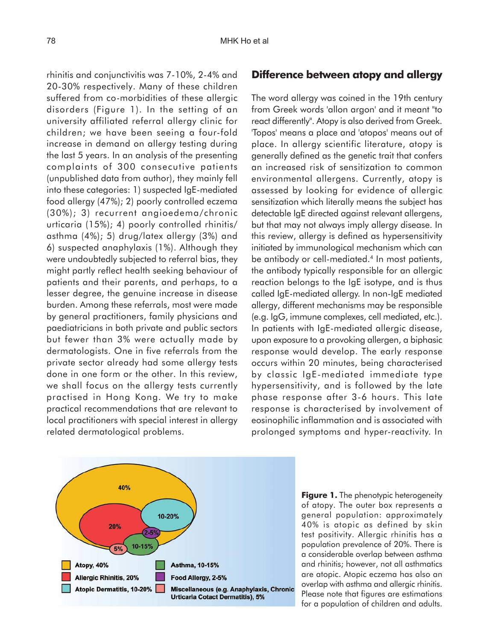rhinitis and conjunctivitis was 7-10%, 2-4% and 20-30% respectively. Many of these children suffered from co-morbidities of these allergic disorders (Figure 1). In the setting of an university affiliated referral allergy clinic for children; we have been seeing a four-fold increase in demand on allergy testing during the last 5 years. In an analysis of the presenting complaints of 300 consecutive patients (unpublished data from author), they mainly fell into these categories: 1) suspected IgE-mediated food allergy (47%); 2) poorly controlled eczema (30%); 3) recurrent angioedema/chronic urticaria (15%); 4) poorly controlled rhinitis/ asthma (4%); 5) drug/latex allergy (3%) and 6) suspected anaphylaxis (1%). Although they were undoubtedly subjected to referral bias, they might partly reflect health seeking behaviour of patients and their parents, and perhaps, to a lesser degree, the genuine increase in disease burden. Among these referrals, most were made by general practitioners, family physicians and paediatricians in both private and public sectors but fewer than 3% were actually made by dermatologists. One in five referrals from the private sector already had some allergy tests done in one form or the other. In this review, we shall focus on the allergy tests currently practised in Hong Kong. We try to make practical recommendations that are relevant to local practitioners with special interest in allergy related dermatological problems.

### **Difference between atopy and allergy**

The word allergy was coined in the 19th century from Greek words 'allon argon' and it meant "to react differently". Atopy is also derived from Greek. 'Topos' means a place and 'atopos' means out of place. In allergy scientific literature, atopy is generally defined as the genetic trait that confers an increased risk of sensitization to common environmental allergens. Currently, atopy is assessed by looking for evidence of allergic sensitization which literally means the subject has detectable IgE directed against relevant allergens, but that may not always imply allergy disease. In this review, allergy is defined as hypersensitivity initiated by immunological mechanism which can be antibody or cell-mediated.<sup>4</sup> In most patients, the antibody typically responsible for an allergic reaction belongs to the IgE isotype, and is thus called IgE-mediated allergy. In non-IgE mediated allergy, different mechanisms may be responsible (e.g. IgG, immune complexes, cell mediated, etc.). In patients with IgE-mediated allergic disease, upon exposure to a provoking allergen, a biphasic response would develop. The early response occurs within 20 minutes, being characterised by classic IgE-mediated immediate type hypersensitivity, and is followed by the late phase response after 3-6 hours. This late response is characterised by involvement of eosinophilic inflammation and is associated with prolonged symptoms and hyper-reactivity. In



**Figure 1.** The phenotypic heterogeneity of atopy. The outer box represents a general population: approximately 40% is atopic as defined by skin test positivity. Allergic rhinitis has a population prevalence of 20%. There is a considerable overlap between asthma and rhinitis; however, not all asthmatics are atopic. Atopic eczema has also an overlap with asthma and allergic rhinitis. Please note that figures are estimations for a population of children and adults.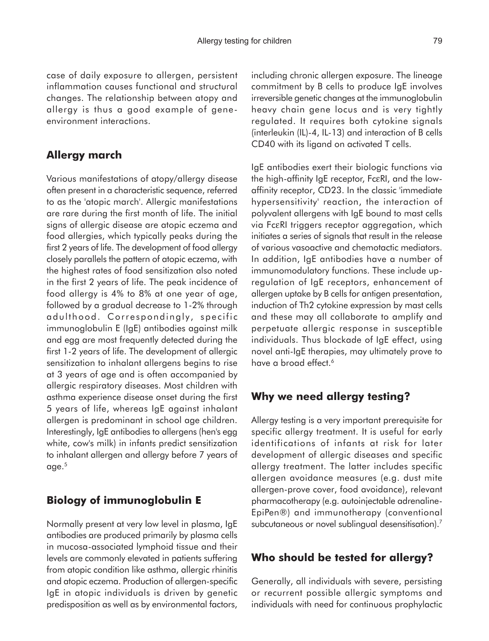case of daily exposure to allergen, persistent inflammation causes functional and structural changes. The relationship between atopy and allergy is thus a good example of geneenvironment interactions.

# **Allergy march**

Various manifestations of atopy/allergy disease often present in a characteristic sequence, referred to as the 'atopic march'. Allergic manifestations are rare during the first month of life. The initial signs of allergic disease are atopic eczema and food allergies, which typically peaks during the first 2 years of life. The development of food allergy closely parallels the pattern of atopic eczema, with the highest rates of food sensitization also noted in the first 2 years of life. The peak incidence of food allergy is 4% to 8% at one year of age, followed by a gradual decrease to 1-2% through adulthood. Correspondingly, specific immunoglobulin E (IgE) antibodies against milk and egg are most frequently detected during the first 1-2 years of life. The development of allergic sensitization to inhalant allergens begins to rise at 3 years of age and is often accompanied by allergic respiratory diseases. Most children with asthma experience disease onset during the first 5 years of life, whereas IgE against inhalant allergen is predominant in school age children. Interestingly, IgE antibodies to allergens (hen's egg white, cow's milk) in infants predict sensitization to inhalant allergen and allergy before 7 years of age.5

# **Biology of immunoglobulin E**

Normally present at very low level in plasma, IgE antibodies are produced primarily by plasma cells in mucosa-associated lymphoid tissue and their levels are commonly elevated in patients suffering from atopic condition like asthma, allergic rhinitis and atopic eczema. Production of allergen-specific IgE in atopic individuals is driven by genetic predisposition as well as by environmental factors,

including chronic allergen exposure. The lineage commitment by B cells to produce IgE involves irreversible genetic changes at the immunoglobulin heavy chain gene locus and is very tightly regulated. It requires both cytokine signals (interleukin (IL)-4, IL-13) and interaction of B cells CD40 with its ligand on activated T cells.

IgE antibodies exert their biologic functions via the high-affinity IgE receptor, FcεRI, and the lowaffinity receptor, CD23. In the classic 'immediate hypersensitivity' reaction, the interaction of polyvalent allergens with IgE bound to mast cells via FcεRI triggers receptor aggregation, which initiates a series of signals that result in the release of various vasoactive and chemotactic mediators. In addition, IgE antibodies have a number of immunomodulatory functions. These include upregulation of IgE receptors, enhancement of allergen uptake by B cells for antigen presentation, induction of Th2 cytokine expression by mast cells and these may all collaborate to amplify and perpetuate allergic response in susceptible individuals. Thus blockade of IgE effect, using novel anti-IgE therapies, may ultimately prove to have a broad effect.<sup>6</sup>

# **Why we need allergy testing?**

Allergy testing is a very important prerequisite for specific allergy treatment. It is useful for early identifications of infants at risk for later development of allergic diseases and specific allergy treatment. The latter includes specific allergen avoidance measures (e.g. dust mite allergen-prove cover, food avoidance), relevant pharmacotherapy (e.g. autoinjectable adrenaline-EpiPen®) and immunotherapy (conventional subcutaneous or novel sublingual desensitisation).<sup>7</sup>

# **Who should be tested for allergy?**

Generally, all individuals with severe, persisting or recurrent possible allergic symptoms and individuals with need for continuous prophylactic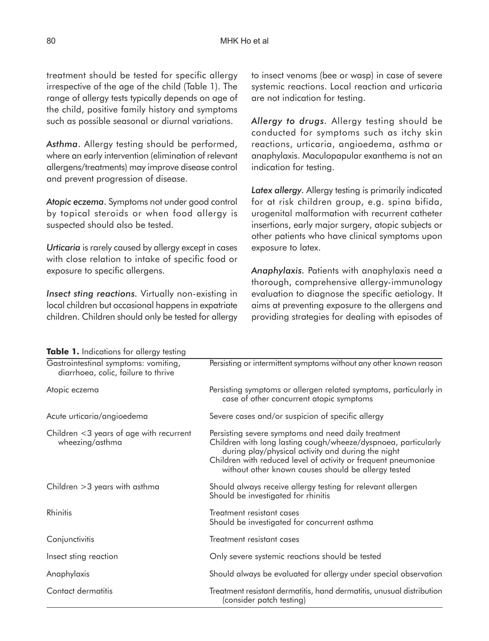treatment should be tested for specific allergy irrespective of the age of the child (Table 1). The range of allergy tests typically depends on age of the child, positive family history and symptoms such as possible seasonal or diurnal variations.

*Asthma*. Allergy testing should be performed, where an early intervention (elimination of relevant allergens/treatments) may improve disease control and prevent progression of disease.

*Atopic eczema*. Symptoms not under good control by topical steroids or when food allergy is suspected should also be tested.

*Urticaria* is rarely caused by allergy except in cases with close relation to intake of specific food or exposure to specific allergens.

*Insect sting reactions.* Virtually non-existing in local children but occasional happens in expatriate children. Children should only be tested for allergy to insect venoms (bee or wasp) in case of severe systemic reactions. Local reaction and urticaria are not indication for testing.

*Allergy to drugs.* Allergy testing should be conducted for symptoms such as itchy skin reactions, urticaria, angioedema, asthma or anaphylaxis. Maculopapular exanthema is not an indication for testing.

*Latex allergy.* Allergy testing is primarily indicated for at risk children group, e.g. spina bifida, urogenital malformation with recurrent catheter insertions, early major surgery, atopic subjects or other patients who have clinical symptoms upon exposure to latex.

*Anaphylaxis.* Patients with anaphylaxis need a thorough, comprehensive allergy-immunology evaluation to diagnose the specific aetiology. It aims at preventing exposure to the allergens and providing strategies for dealing with episodes of

| Gastrointestinal symptoms: vomiting,<br>diarrhoea, colic, failure to thrive | Persisting or intermittent symptoms without any other known reason                                                                                                                                                                                                                                   |  |
|-----------------------------------------------------------------------------|------------------------------------------------------------------------------------------------------------------------------------------------------------------------------------------------------------------------------------------------------------------------------------------------------|--|
| Atopic eczema                                                               | Persisting symptoms or allergen related symptoms, particularly in<br>case of other concurrent atopic symptoms                                                                                                                                                                                        |  |
| Acute urticaria/angioedema                                                  | Severe cases and/or suspicion of specific allergy                                                                                                                                                                                                                                                    |  |
| Children <3 years of age with recurrent<br>wheezing/asthma                  | Persisting severe symptoms and need daily treatment<br>Children with long lasting cough/wheeze/dyspnoea, particularly<br>during play/physical activity and during the night<br>Children with reduced level of activity or frequent pneumoniae<br>without other known causes should be allergy tested |  |
| Children $>3$ years with asthma                                             | Should always receive allergy testing for relevant allergen<br>Should be investigated for rhinitis                                                                                                                                                                                                   |  |
| Rhinitis                                                                    | Treatment resistant cases<br>Should be investigated for concurrent asthma                                                                                                                                                                                                                            |  |
| Conjunctivitis                                                              | Treatment resistant cases                                                                                                                                                                                                                                                                            |  |
| Insect sting reaction                                                       | Only severe systemic reactions should be tested                                                                                                                                                                                                                                                      |  |
| Anaphylaxis                                                                 | Should always be evaluated for allergy under special observation                                                                                                                                                                                                                                     |  |
| Contact dermatitis                                                          | Treatment resistant dermatitis, hand dermatitis, unusual distribution<br>(consider patch testing)                                                                                                                                                                                                    |  |

#### **Table 1.** Indications for allergy testing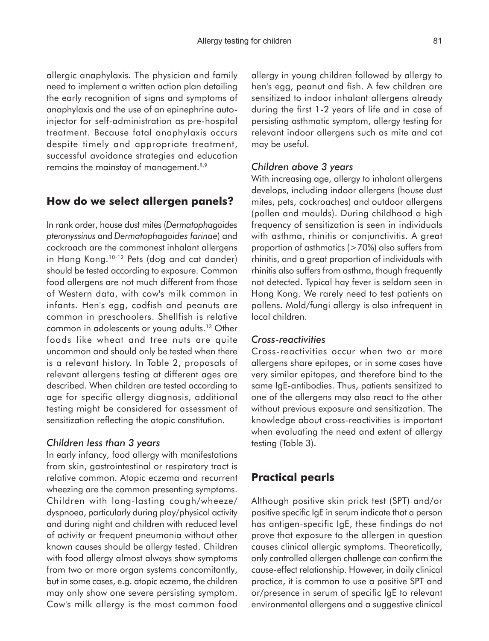allergic anaphylaxis. The physician and family need to implement a written action plan detailing the early recognition of signs and symptoms of anaphylaxis and the use of an epinephrine autoinjector for self-administration as pre-hospital treatment. Because fatal anaphylaxis occurs despite timely and appropriate treatment, successful avoidance strategies and education remains the mainstay of management.<sup>8,9</sup>

### **How do we select allergen panels?**

In rank order, house dust mites (*Dermatophagoides pteronyssinus* and *Dermatophagoides farinae*) and cockroach are the commonest inhalant allergens in Hong Kong.<sup>10-12</sup> Pets (dog and cat dander) should be tested according to exposure. Common food allergens are not much different from those of Western data, with cow's milk common in infants. Hen's egg, codfish and peanuts are common in preschoolers. Shellfish is relative common in adolescents or young adults.13 Other foods like wheat and tree nuts are quite uncommon and should only be tested when there is a relevant history. In Table 2, proposals of relevant allergens testing at different ages are described. When children are tested according to age for specific allergy diagnosis, additional testing might be considered for assessment of sensitization reflecting the atopic constitution.

### *Children less than 3 years*

In early infancy, food allergy with manifestations from skin, gastrointestinal or respiratory tract is relative common. Atopic eczema and recurrent wheezing are the common presenting symptoms. Children with long-lasting cough/wheeze/ dyspnoea, particularly during play/physical activity and during night and children with reduced level of activity or frequent pneumonia without other known causes should be allergy tested. Children with food allergy almost always show symptoms from two or more organ systems concomitantly, but in some cases, e.g. atopic eczema, the children may only show one severe persisting symptom. Cow's milk allergy is the most common food

allergy in young children followed by allergy to hen's egg, peanut and fish. A few children are sensitized to indoor inhalant allergens already during the first 1-2 years of life and in case of persisting asthmatic symptom, allergy testing for relevant indoor allergens such as mite and cat may be useful.

### *Children above 3 years*

With increasing age, allergy to inhalant allergens develops, including indoor allergens (house dust mites, pets, cockroaches) and outdoor allergens (pollen and moulds). During childhood a high frequency of sensitization is seen in individuals with asthma, rhinitis or conjunctivitis. A great proportion of asthmatics  $($ >70%) also suffers from rhinitis, and a great proportion of individuals with rhinitis also suffers from asthma, though frequently not detected. Typical hay fever is seldom seen in Hong Kong. We rarely need to test patients on pollens. Mold/fungi allergy is also infrequent in local children.

### *Cross-reactivities*

Cross-reactivities occur when two or more allergens share epitopes, or in some cases have very similar epitopes, and therefore bind to the same IgE-antibodies. Thus, patients sensitized to one of the allergens may also react to the other without previous exposure and sensitization. The knowledge about cross-reactivities is important when evaluating the need and extent of allergy testing (Table 3).

# **Practical pearls**

Although positive skin prick test (SPT) and/or positive specific IgE in serum indicate that a person has antigen-specific IgE, these findings do not prove that exposure to the allergen in question causes clinical allergic symptoms. Theoretically, only controlled allergen challenge can confirm the cause-effect relationship. However, in daily clinical practice, it is common to use a positive SPT and or/presence in serum of specific IgE to relevant environmental allergens and a suggestive clinical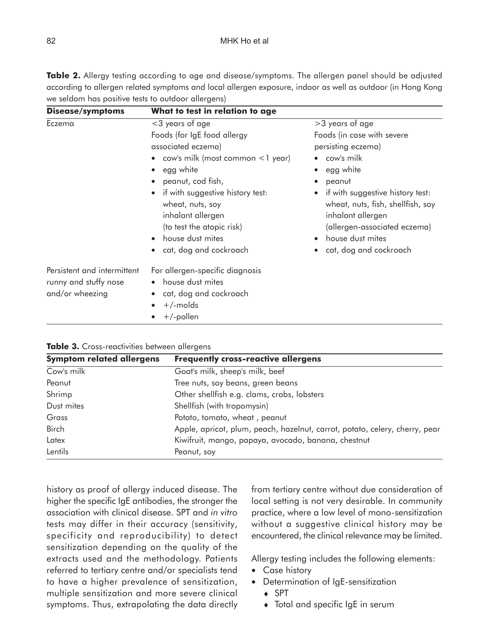| <b>Disease/symptoms</b>                                                 | What to test in relation to age                                                                                                                                                                                                                                                                                                          |                                                                                                                                                                                                                                                                                      |
|-------------------------------------------------------------------------|------------------------------------------------------------------------------------------------------------------------------------------------------------------------------------------------------------------------------------------------------------------------------------------------------------------------------------------|--------------------------------------------------------------------------------------------------------------------------------------------------------------------------------------------------------------------------------------------------------------------------------------|
| Eczema                                                                  | <3 years of age<br>Foods (for IgE food allergy<br>associated eczema)<br>$\frac{1}{2}$ cow's milk (most common $\frac{1}{2}$ year)<br>egg white<br>peanut, cod fish,<br>if with suggestive history test:<br>wheat, nuts, soy<br>inhalant allergen<br>(to test the atopic risk)<br>house dust mites<br>$\bullet$<br>cat, dog and cockroach | >3 years of age<br>Foods (in case with severe<br>persisting eczema)<br>cow's milk<br>egg white<br>peanut<br>if with suggestive history test:<br>wheat, nuts, fish, shellfish, soy<br>inhalant allergen<br>(allergen-associated eczema)<br>house dust mites<br>cat, dog and cockroach |
| Persistent and intermittent<br>runny and stuffy nose<br>and/or wheezing | For allergen-specific diagnosis<br>house dust mites<br>cat, dog and cockroach<br>$\bullet$<br>$+$ /-molds<br>$+/-$ pollen                                                                                                                                                                                                                |                                                                                                                                                                                                                                                                                      |

**Table 2.** Allergy testing according to age and disease/symptoms. The allergen panel should be adjusted according to allergen related symptoms and local allergen exposure, indoor as well as outdoor (in Hong Kong we seldom has positive tests to outdoor allergens)

|  | Table 3. Cross-reactivities between allergens |  |  |
|--|-----------------------------------------------|--|--|
|--|-----------------------------------------------|--|--|

| <b>Symptom related allergens</b> | <b>Frequently cross-reactive allergens</b>                                  |
|----------------------------------|-----------------------------------------------------------------------------|
| Cow's milk                       | Goat's milk, sheep's milk, beef                                             |
| Peanut                           | Tree nuts, soy beans, green beans                                           |
| Shrimp                           | Other shellfish e.g. clams, crabs, lobsters                                 |
| Dust mites                       | Shellfish (with tropomysin)                                                 |
| Grass                            | Potato, tomato, wheat, peanut                                               |
| <b>Birch</b>                     | Apple, apricot, plum, peach, hazelnut, carrot, potato, celery, cherry, pear |
| Latex                            | Kiwifruit, mango, papaya, avocado, banana, chestnut                         |
| Lentils                          | Peanut, soy                                                                 |

history as proof of allergy induced disease. The higher the specific IgE antibodies, the stronger the association with clinical disease. SPT and *in vitro* tests may differ in their accuracy (sensitivity, specificity and reproducibility) to detect sensitization depending on the quality of the extracts used and the methodology. Patients referred to tertiary centre and/or specialists tend to have a higher prevalence of sensitization, multiple sensitization and more severe clinical symptoms. Thus, extrapolating the data directly from tertiary centre without due consideration of local setting is not very desirable. In community practice, where a low level of mono-sensitization without a suggestive clinical history may be encountered, the clinical relevance may be limited.

Allergy testing includes the following elements:

- Case history
- Determination of IgE-sensitization
	- ♦ SPT
	- ♦ Total and specific IgE in serum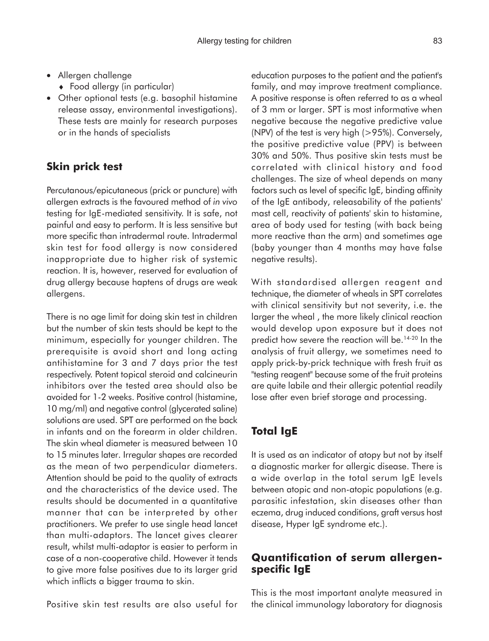- Allergen challenge
	- ♦ Food allergy (in particular)
- Other optional tests (e.g. basophil histamine release assay, environmental investigations). These tests are mainly for research purposes or in the hands of specialists

# **Skin prick test**

Percutanous/epicutaneous (prick or puncture) with allergen extracts is the favoured method of *in vivo* testing for IgE-mediated sensitivity. It is safe, not painful and easy to perform. It is less sensitive but more specific than intradermal route. Intradermal skin test for food allergy is now considered inappropriate due to higher risk of systemic reaction. It is, however, reserved for evaluation of drug allergy because haptens of drugs are weak allergens.

There is no age limit for doing skin test in children but the number of skin tests should be kept to the minimum, especially for younger children. The prerequisite is avoid short and long acting antihistamine for 3 and 7 days prior the test respectively. Potent topical steroid and calcineurin inhibitors over the tested area should also be avoided for 1-2 weeks. Positive control (histamine, 10 mg/ml) and negative control (glycerated saline) solutions are used. SPT are performed on the back in infants and on the forearm in older children. The skin wheal diameter is measured between 10 to 15 minutes later. Irregular shapes are recorded as the mean of two perpendicular diameters. Attention should be paid to the quality of extracts and the characteristics of the device used. The results should be documented in a quantitative manner that can be interpreted by other practitioners. We prefer to use single head lancet than multi-adaptors. The lancet gives clearer result, whilst multi-adaptor is easier to perform in case of a non-cooperative child. However it tends to give more false positives due to its larger grid which inflicts a bigger trauma to skin.

Positive skin test results are also useful for

education purposes to the patient and the patient's family, and may improve treatment compliance. A positive response is often referred to as a wheal of 3 mm or larger. SPT is most informative when negative because the negative predictive value (NPV) of the test is very high (>95%). Conversely, the positive predictive value (PPV) is between 30% and 50%. Thus positive skin tests must be correlated with clinical history and food challenges. The size of wheal depends on many factors such as level of specific IgE, binding affinity of the IgE antibody, releasability of the patients' mast cell, reactivity of patients' skin to histamine, area of body used for testing (with back being more reactive than the arm) and sometimes age (baby younger than 4 months may have false negative results).

With standardised allergen reagent and technique, the diameter of wheals in SPT correlates with clinical sensitivity but not severity, i.e. the larger the wheal , the more likely clinical reaction would develop upon exposure but it does not predict how severe the reaction will be.<sup>14-20</sup> In the analysis of fruit allergy, we sometimes need to apply prick-by-prick technique with fresh fruit as "testing reagent" because some of the fruit proteins are quite labile and their allergic potential readily lose after even brief storage and processing.

# **Total IgE**

It is used as an indicator of atopy but not by itself a diagnostic marker for allergic disease. There is a wide overlap in the total serum IgE levels between atopic and non-atopic populations (e.g. parasitic infestation, skin diseases other than eczema, drug induced conditions, graft versus host disease, Hyper IgE syndrome etc.).

# **Quantification of serum allergenspecific IgE**

This is the most important analyte measured in the clinical immunology laboratory for diagnosis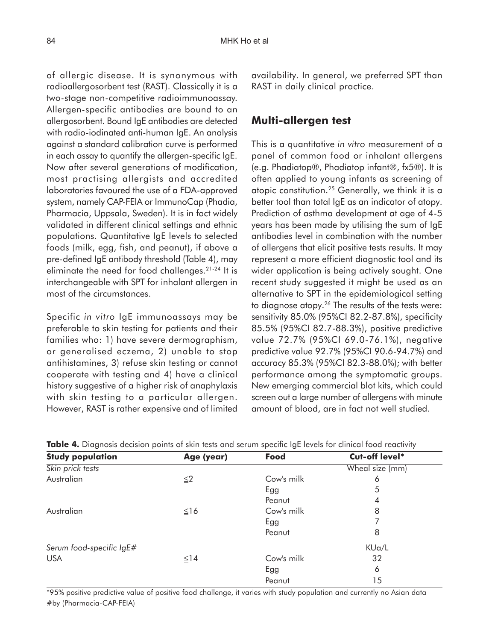of allergic disease. It is synonymous with radioallergosorbent test (RAST). Classically it is a two-stage non-competitive radioimmunoassay. Allergen-specific antibodies are bound to an allergosorbent. Bound IgE antibodies are detected with radio-iodinated anti-human IgE. An analysis against a standard calibration curve is performed in each assay to quantify the allergen-specific IgE. Now after several generations of modification, most practising allergists and accredited laboratories favoured the use of a FDA-approved system, namely CAP-FEIA or ImmunoCap (Phadia, Pharmacia, Uppsala, Sweden). It is in fact widely validated in different clinical settings and ethnic populations. Quantitative IgE levels to selected foods (milk, egg, fish, and peanut), if above a pre-defined IgE antibody threshold (Table 4), may eliminate the need for food challenges.21-24 It is interchangeable with SPT for inhalant allergen in most of the circumstances.

Specific *in vitro* IgE immunoassays may be preferable to skin testing for patients and their families who: 1) have severe dermographism, or generalised eczema, 2) unable to stop antihistamines, 3) refuse skin testing or cannot cooperate with testing and 4) have a clinical history suggestive of a higher risk of anaphylaxis with skin testing to a particular allergen. However, RAST is rather expensive and of limited availability. In general, we preferred SPT than RAST in daily clinical practice.

# **Multi-allergen test**

This is a quantitative *in vitro* measurement of a panel of common food or inhalant allergens (e.g. Phadiatop®, Phadiatop infant®, fx5®). It is often applied to young infants as screening of atopic constitution.25 Generally, we think it is a better tool than total IgE as an indicator of atopy. Prediction of asthma development at age of 4-5 years has been made by utilising the sum of IgE antibodies level in combination with the number of allergens that elicit positive tests results. It may represent a more efficient diagnostic tool and its wider application is being actively sought. One recent study suggested it might be used as an alternative to SPT in the epidemiological setting to diagnose atopy.26 The results of the tests were: sensitivity 85.0% (95%CI 82.2-87.8%), specificity 85.5% (95%CI 82.7-88.3%), positive predictive value 72.7% (95%CI 69.0-76.1%), negative predictive value 92.7% (95%CI 90.6-94.7%) and accuracy 85.3% (95%CI 82.3-88.0%); with better performance among the symptomatic groups. New emerging commercial blot kits, which could screen out a large number of allergens with minute amount of blood, are in fact not well studied.

| <b>Study population</b>  | Age (year) | Food       | Cut-off level*  |
|--------------------------|------------|------------|-----------------|
| Skin prick tests         |            |            | Wheal size (mm) |
| Australian               | $\leq$ 2   | Cow's milk | 6               |
|                          |            | Egg        | 5               |
|                          |            | Peanut     | 4               |
| Australian               | $\leq$ 16  | Cow's milk | 8               |
|                          |            | Egg        |                 |
|                          |            | Peanut     | 8               |
| Serum food-specific IgE# |            |            | KUa/L           |
| <b>USA</b>               | $\leq$ 14  | Cow's milk | 32              |
|                          |            | Egg        | 6               |
|                          |            | Peanut     | 15              |

**Table 4.** Diagnosis decision points of skin tests and serum specific IgE levels for clinical food reactivity

\*95% positive predictive value of positive food challenge, it varies with study population and currently no Asian data #by (Pharmacia-CAP-FEIA)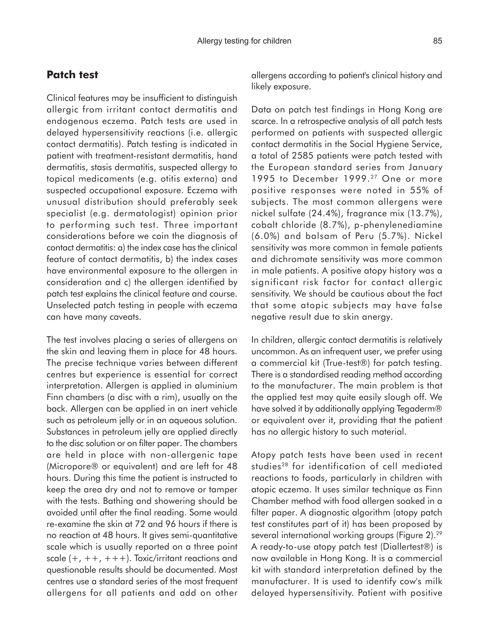### **Patch test**

Clinical features may be insufficient to distinguish allergic from irritant contact dermatitis and endogenous eczema. Patch tests are used in delayed hypersensitivity reactions (i.e. allergic contact dermatitis). Patch testing is indicated in patient with treatment-resistant dermatitis, hand dermatitis, stasis dermatitis, suspected allergy to topical medicaments (e.g. otitis externa) and suspected occupational exposure. Eczema with unusual distribution should preferably seek specialist (e.g. dermatologist) opinion prior to performing such test. Three important considerations before we coin the diagnosis of contact dermatitis: a) the index case has the clinical feature of contact dermatitis, b) the index cases have environmental exposure to the allergen in consideration and c) the allergen identified by patch test explains the clinical feature and course. Unselected patch testing in people with eczema can have many caveats.

The test involves placing a series of allergens on the skin and leaving them in place for 48 hours. The precise technique varies between different centres but experience is essential for correct interpretation. Allergen is applied in aluminium Finn chambers (a disc with a rim), usually on the back. Allergen can be applied in an inert vehicle such as petroleum jelly or in an aqueous solution. Substances in petroleum jelly are applied directly to the disc solution or on filter paper. The chambers are held in place with non-allergenic tape (Micropore® or equivalent) and are left for 48 hours. During this time the patient is instructed to keep the area dry and not to remove or tamper with the tests. Bathing and showering should be avoided until after the final reading. Some would re-examine the skin at 72 and 96 hours if there is no reaction at 48 hours. It gives semi-quantitative scale which is usually reported on a three point scale  $(+, ++, +++)$ . Toxic/irritant reactions and questionable results should be documented. Most centres use a standard series of the most frequent allergens for all patients and add on other allergens according to patient's clinical history and likely exposure.

Data on patch test findings in Hong Kong are scarce. In a retrospective analysis of all patch tests performed on patients with suspected allergic contact dermatitis in the Social Hygiene Service, a total of 2585 patients were patch tested with the European standard series from January 1995 to December 1999.<sup>27</sup> One or more positive responses were noted in 55% of subjects. The most common allergens were nickel sulfate (24.4%), fragrance mix (13.7%), cobalt chloride (8.7%), p-phenylenediamine (6.0%) and balsam of Peru (5.7%). Nickel sensitivity was more common in female patients and dichromate sensitivity was more common in male patients. A positive atopy history was a significant risk factor for contact allergic sensitivity. We should be cautious about the fact that some atopic subjects may have false negative result due to skin anergy.

In children, allergic contact dermatitis is relatively uncommon. As an infrequent user, we prefer using a commercial kit (True-test®) for patch testing. There is a standardised reading method according to the manufacturer. The main problem is that the applied test may quite easily slough off. We have solved it by additionally applying Tegaderm® or equivalent over it, providing that the patient has no allergic history to such material.

Atopy patch tests have been used in recent studies<sup>28</sup> for identification of cell mediated reactions to foods, particularly in children with atopic eczema. It uses similar technique as Finn Chamber method with food allergen soaked in a filter paper. A diagnostic algorithm (atopy patch test constitutes part of it) has been proposed by several international working groups (Figure 2).<sup>29</sup> A ready-to-use atopy patch test (Diallertest®) is now available in Hong Kong. It is a commercial kit with standard interpretation defined by the manufacturer. It is used to identify cow's milk delayed hypersensitivity. Patient with positive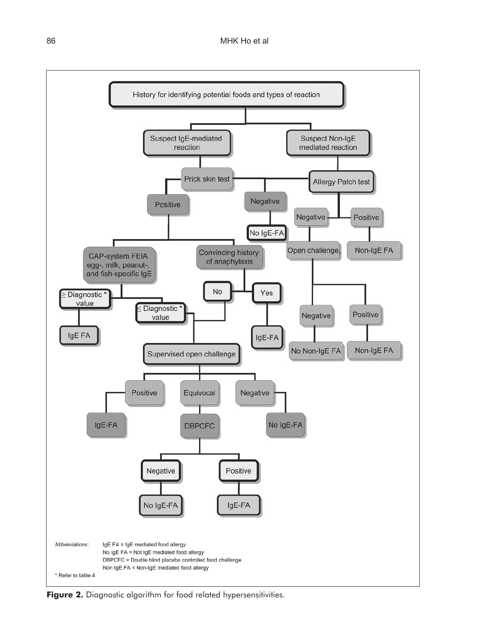

Figure 2. Diagnostic algorithm for food related hypersensitivities.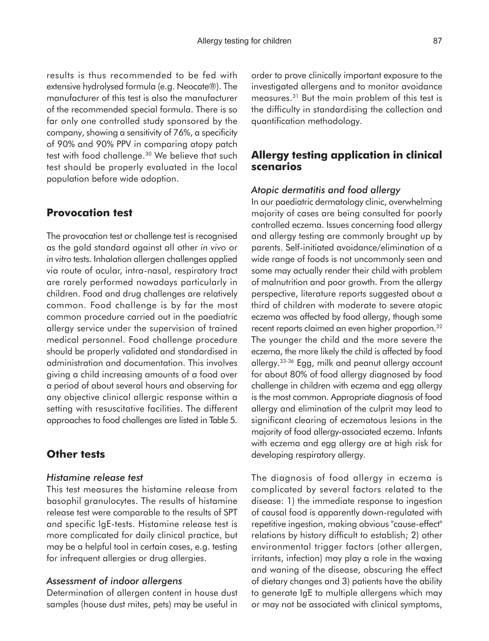results is thus recommended to be fed with extensive hydrolysed formula (e.g. Neocate®). The manufacturer of this test is also the manufacturer of the recommended special formula. There is so far only one controlled study sponsored by the company, showing a sensitivity of 76%, a specificity of 90% and 90% PPV in comparing atopy patch test with food challenge.<sup>30</sup> We believe that such test should be properly evaluated in the local population before wide adoption.

### **Provocation test**

The provocation test or challenge test is recognised as the gold standard against all other *in vivo* or *in vitro* tests. Inhalation allergen challenges applied via route of ocular, intra-nasal, respiratory tract are rarely performed nowadays particularly in children. Food and drug challenges are relatively common. Food challenge is by far the most common procedure carried out in the paediatric allergy service under the supervision of trained medical personnel. Food challenge procedure should be properly validated and standardised in administration and documentation. This involves giving a child increasing amounts of a food over a period of about several hours and observing for any objective clinical allergic response within a setting with resuscitative facilities. The different approaches to food challenges are listed in Table 5.

### **Other tests**

#### *Histamine release test*

This test measures the histamine release from basophil granulocytes. The results of histamine release test were comparable to the results of SPT and specific IgE-tests. Histamine release test is more complicated for daily clinical practice, but may be a helpful tool in certain cases, e.g. testing for infrequent allergies or drug allergies.

### *Assessment of indoor allergens*

Determination of allergen content in house dust samples (house dust mites, pets) may be useful in order to prove clinically important exposure to the investigated allergens and to monitor avoidance measures.31 But the main problem of this test is the difficulty in standardising the collection and quantification methodology.

### **Allergy testing application in clinical scenarios**

#### *Atopic dermatitis and food allergy*

In our paediatric dermatology clinic, overwhelming majority of cases are being consulted for poorly controlled eczema. Issues concerning food allergy and allergy testing are commonly brought up by parents. Self-initiated avoidance/elimination of a wide range of foods is not uncommonly seen and some may actually render their child with problem of malnutrition and poor growth. From the allergy perspective, literature reports suggested about a third of children with moderate to severe atopic eczema was affected by food allergy, though some recent reports claimed an even higher proportion.<sup>32</sup> The younger the child and the more severe the eczema, the more likely the child is affected by food allergy.33-36 Egg, milk and peanut allergy account for about 80% of food allergy diagnosed by food challenge in children with eczema and egg allergy is the most common. Appropriate diagnosis of food allergy and elimination of the culprit may lead to significant clearing of eczematous lesions in the majority of food allergy-associated eczema. Infants with eczema and egg allergy are at high risk for developing respiratory allergy.

The diagnosis of food allergy in eczema is complicated by several factors related to the disease: 1) the immediate response to ingestion of causal food is apparently down-regulated with repetitive ingestion, making obvious "cause-effect" relations by history difficult to establish; 2) other environmental trigger factors (other allergen, irritants, infection) may play a role in the waxing and waning of the disease, obscuring the effect of dietary changes and 3) patients have the ability to generate IgE to multiple allergens which may or may not be associated with clinical symptoms,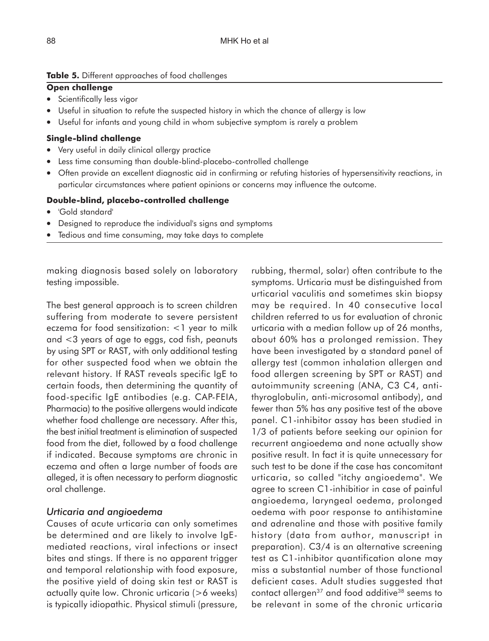#### **Table 5.** Different approaches of food challenges

#### **Open challenge**

- Scientifically less vigor
- Useful in situation to refute the suspected history in which the chance of allergy is low
- Useful for infants and young child in whom subjective symptom is rarely a problem

#### **Single-blind challenge**

- Very useful in daily clinical allergy practice
- Less time consuming than double-blind-placebo-controlled challenge
- Often provide an excellent diagnostic aid in confirming or refuting histories of hypersensitivity reactions, in particular circumstances where patient opinions or concerns may influence the outcome.

#### **Double-blind, placebo-controlled challenge**

- 'Gold standard'
- Designed to reproduce the individual's signs and symptoms
- Tedious and time consuming, may take days to complete

making diagnosis based solely on laboratory testing impossible.

The best general approach is to screen children suffering from moderate to severe persistent eczema for food sensitization: <1 year to milk and <3 years of age to eggs, cod fish, peanuts by using SPT or RAST, with only additional testing for other suspected food when we obtain the relevant history. If RAST reveals specific IgE to certain foods, then determining the quantity of food-specific IgE antibodies (e.g. CAP-FEIA, Pharmacia) to the positive allergens would indicate whether food challenge are necessary. After this, the best initial treatment is elimination of suspected food from the diet, followed by a food challenge if indicated. Because symptoms are chronic in eczema and often a large number of foods are alleged, it is often necessary to perform diagnostic oral challenge.

### *Urticaria and angioedema*

Causes of acute urticaria can only sometimes be determined and are likely to involve IgEmediated reactions, viral infections or insect bites and stings. If there is no apparent trigger and temporal relationship with food exposure, the positive yield of doing skin test or RAST is actually quite low. Chronic urticaria (>6 weeks) is typically idiopathic. Physical stimuli (pressure, rubbing, thermal, solar) often contribute to the symptoms. Urticaria must be distinguished from urticarial vaculitis and sometimes skin biopsy may be required. In 40 consecutive local children referred to us for evaluation of chronic urticaria with a median follow up of 26 months, about 60% has a prolonged remission. They have been investigated by a standard panel of allergy test (common inhalation allergen and food allergen screening by SPT or RAST) and autoimmunity screening (ANA, C3 C4, antithyroglobulin, anti-microsomal antibody), and fewer than 5% has any positive test of the above panel. C1-inhibitor assay has been studied in 1/3 of patients before seeking our opinion for recurrent angioedema and none actually show positive result. In fact it is quite unnecessary for such test to be done if the case has concomitant urticaria, so called "itchy angioedema". We agree to screen C1-inhibitior in case of painful angioedema, laryngeal oedema, prolonged oedema with poor response to antihistamine and adrenaline and those with positive family history (data from author, manuscript in preparation). C3/4 is an alternative screening test as C1-inhibitor quantification alone may miss a substantial number of those functional deficient cases. Adult studies suggested that contact allergen<sup>37</sup> and food additive<sup>38</sup> seems to be relevant in some of the chronic urticaria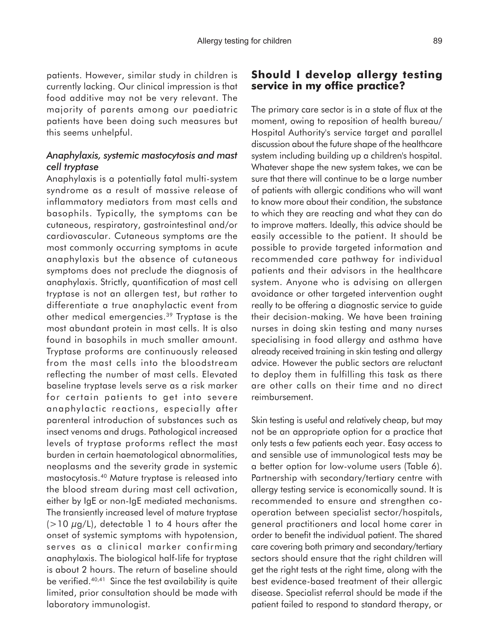patients. However, similar study in children is currently lacking. Our clinical impression is that food additive may not be very relevant. The majority of parents among our paediatric patients have been doing such measures but this seems unhelpful.

### *Anaphylaxis, systemic mastocytosis and mast cell tryptase*

Anaphylaxis is a potentially fatal multi-system syndrome as a result of massive release of inflammatory mediators from mast cells and basophils. Typically, the symptoms can be cutaneous, respiratory, gastrointestinal and/or cardiovascular. Cutaneous symptoms are the most commonly occurring symptoms in acute anaphylaxis but the absence of cutaneous symptoms does not preclude the diagnosis of anaphylaxis. Strictly, quantification of mast cell tryptase is not an allergen test, but rather to differentiate a true anaphylactic event from other medical emergencies.39 Tryptase is the most abundant protein in mast cells. It is also found in basophils in much smaller amount. Tryptase proforms are continuously released from the mast cells into the bloodstream reflecting the number of mast cells. Elevated baseline tryptase levels serve as a risk marker for certain patients to get into severe anaphylactic reactions, especially after parenteral introduction of substances such as insect venoms and drugs. Pathological increased levels of tryptase proforms reflect the mast burden in certain haematological abnormalities, neoplasms and the severity grade in systemic mastocytosis.40 Mature tryptase is released into the blood stream during mast cell activation, either by IgE or non-IgE mediated mechanisms. The transiently increased level of mature tryptase  $(>10 \mu g/L)$ , detectable 1 to 4 hours after the onset of systemic symptoms with hypotension, serves as a clinical marker confirming anaphylaxis. The biological half-life for tryptase is about 2 hours. The return of baseline should be verified.40,41 Since the test availability is quite limited, prior consultation should be made with laboratory immunologist.

### **Should I develop allergy testing service in my office practice?**

The primary care sector is in a state of flux at the moment, owing to reposition of health bureau/ Hospital Authority's service target and parallel discussion about the future shape of the healthcare system including building up a children's hospital. Whatever shape the new system takes, we can be sure that there will continue to be a large number of patients with allergic conditions who will want to know more about their condition, the substance to which they are reacting and what they can do to improve matters. Ideally, this advice should be easily accessible to the patient. It should be possible to provide targeted information and recommended care pathway for individual patients and their advisors in the healthcare system. Anyone who is advising on allergen avoidance or other targeted intervention ought really to be offering a diagnostic service to guide their decision-making. We have been training nurses in doing skin testing and many nurses specialising in food allergy and asthma have already received training in skin testing and allergy advice. However the public sectors are reluctant to deploy them in fulfilling this task as there are other calls on their time and no direct reimbursement.

Skin testing is useful and relatively cheap, but may not be an appropriate option for a practice that only tests a few patients each year. Easy access to and sensible use of immunological tests may be a better option for low-volume users (Table 6). Partnership with secondary/tertiary centre with allergy testing service is economically sound. It is recommended to ensure and strengthen cooperation between specialist sector/hospitals, general practitioners and local home carer in order to benefit the individual patient. The shared care covering both primary and secondary/tertiary sectors should ensure that the right children will get the right tests at the right time, along with the best evidence-based treatment of their allergic disease. Specialist referral should be made if the patient failed to respond to standard therapy, or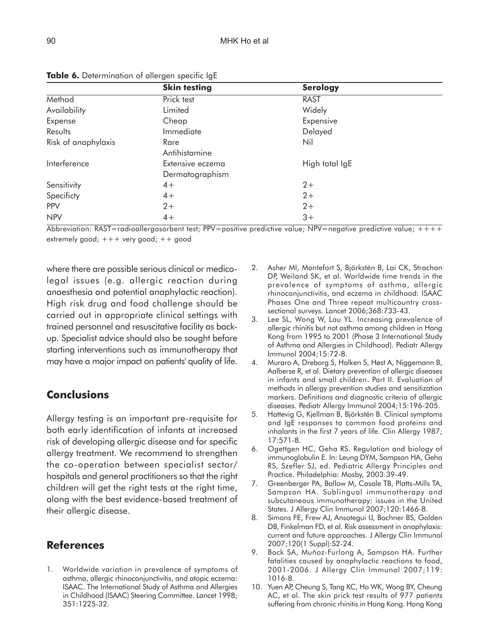|                     | <b>Skin testing</b>                 | <b>Serology</b> |  |
|---------------------|-------------------------------------|-----------------|--|
| Method              | Prick test                          | <b>RAST</b>     |  |
| Availability        | Limited                             | Widely          |  |
| Expense             | Cheap                               | Expensive       |  |
| Results             | Immediate                           | Delayed         |  |
| Risk of anaphylaxis | Rare<br>Antihistamine               | Nil             |  |
| Interference        | Extensive eczema<br>Dermatographism | High total IgE  |  |
| Sensitivity         | $4+$                                | $2+$            |  |
| Specificty          | $4+$                                | $2+$            |  |
| PPV                 | $2+$                                | $2+$            |  |
| <b>NPV</b>          | $4+$                                | $3+$            |  |

**Table 6.** Determination of allergen specific IgE

Abbreviation: RAST=radioallergosorbent test; PPV=positive predictive value; NPV=negative predictive value;  $++++$ extremely good; +++ very good; ++ good

where there are possible serious clinical or medicolegal issues (e.g. allergic reaction during anaesthesia and potential anaphylactic reaction). High risk drug and food challenge should be carried out in appropriate clinical settings with trained personnel and resuscitative facility as backup. Specialist advice should also be sought before starting interventions such as immunotherapy that may have a major impact on patients' quality of life.

# **Conclusions**

Allergy testing is an important pre-requisite for both early identification of infants at increased risk of developing allergic disease and for specific allergy treatment. We recommend to strengthen the co-operation between specialist sector/ hospitals and general practitioners so that the right children will get the right tests at the right time, along with the best evidence-based treatment of their allergic disease.

# **References**

1. Worldwide variation in prevalence of symptoms of asthma, allergic rhinoconjunctivitis, and atopic eczema: ISAAC. The International Study of Asthma and Allergies in Childhood (ISAAC) Steering Committee. Lancet 1998; 351:1225-32.

- 2. Asher MI, Montefort S, Björkstén B, Lai CK, Strachan DP, Weiland SK, et al. Worldwide time trends in the prevalence of symptoms of asthma, allergic rhinoconjunctivitis, and eczema in childhood: ISAAC Phases One and Three repeat multicountry crosssectional surveys. Lancet 2006;368:733-43.
- 3. Lee SL, Wong W, Lau YL. Increasing prevalence of allergic rhinitis but not asthma among children in Hong Kong from 1995 to 2001 (Phase 3 International Study of Asthma and Allergies in Childhood). Pediatr Allergy Immunol 2004;15:72-8.
- 4. Muraro A, Dreborg S, Halken S, Høst A, Niggemann B, Aalberse R, et al. Dietary prevention of allergic diseases in infants and small children. Part II. Evaluation of methods in allergy prevention studies and sensitization markers. Definitions and diagnostic criteria of allergic diseases. Pediatr Allergy Immunol 2004;15:196-205.
- 5. Hattevig G, Kjellman B, Björkstén B. Clinical symptoms and IgE responses to common food proteins and inhalants in the first 7 years of life. Clin Allergy 1987; 17:571-8.
- 6. Ogettgen HC, Geha RS. Regulation and biology of immunoglobulin E. In: Leung DYM, Sampson HA, Geha RS, Szefler SJ, ed. Pediatric Allergy Principles and Practice. Philadelphia: Mosby, 2003:39-49.
- 7. Greenberger PA, Ballow M, Casale TB, Platts-Mills TA, Sampson HA. Sublingual immunotherapy and subcutaneous immunotherapy: issues in the United States. J Allergy Clin Immunol 2007;120:1466-8.
- 8. Simons FE, Frew AJ, Ansotegui IJ, Bochner BS, Golden DB, Finkelman FD, et al. Risk assessment in anaphylaxis: current and future approaches. J Allergy Clin Immunol 2007;120(1 Suppl):S2-24.
- 9. Bock SA, Muñoz-Furlong A, Sampson HA. Further fatalities caused by anaphylactic reactions to food, 2001-2006. J Allergy Clin Immunol 2007;119: 1016-8.
- 10. Yuen AP, Cheung S, Tang KC, Ho WK, Wong BY, Cheung AC, et al. The skin prick test results of 977 patients suffering from chronic rhinitis in Hong Kong. Hong Kong